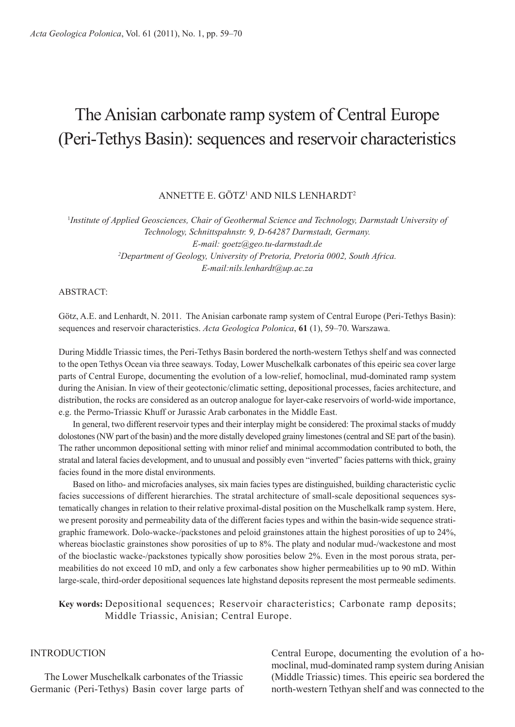# The Anisian carbonate ramp system of Central Europe (Peri-Tethys Basin): sequences and reservoir characteristics

# ANNETTE E. GöTz1 ANd Nils lENhArdT2

1 *Institute of Applied Geosciences, Chair of Geothermal Science and Technology, Darmstadt University of Technology, Schnittspahnstr. 9, D-64287 Darmstadt, Germany. E-mail: goetz@geo.tu-darmstadt.de* <sup>2</sup>Department of Geology, University of Pretoria, Pretoria 0002, South Africa. *E-mail:nils.lenhardt@up.ac.za*

ABSTRACT<sup>.</sup>

Götz, A.E. and Lenhardt, N. 2011. The Anisian carbonate ramp system of Central Europe (Peri-Tethys Basin): sequences and reservoir characteristics. *Acta Geologica Polonica*, **61** (1), 59–70. Warszawa.

During Middle Triassic times, the Peri-Tethys Basin bordered the north-western Tethys shelf and was connected to the open Tethys Ocean via three seaways. Today, lower Muschelkalk carbonates of this epeiric sea cover large parts of Central Europe, documenting the evolution of a low-relief, homoclinal, mud-dominated ramp system during the Anisian. In view of their geotectonic/climatic setting, depositional processes, facies architecture, and distribution, the rocks are considered as an outcrop analogue for layer-cake reservoirs of world-wide importance, e.g. the Permo-Triassic Khuff or Jurassic Arab carbonates in the Middle East.

In general, two different reservoir types and their interplay might be considered: The proximal stacks of muddy dolostones (NW part of the basin) and the more distally developed grainy limestones (central and sE part of the basin). The rather uncommon depositional setting with minor relief and minimal accommodation contributed to both, the stratal and lateral facies development, and to unusual and possibly even "inverted" facies patterns with thick, grainy facies found in the more distal environments.

Based on litho- and microfacies analyses, six main facies types are distinguished, building characteristic cyclic facies successions of different hierarchies. The stratal architecture of small-scale depositional sequences systematically changes in relation to their relative proximal-distal position on the Muschelkalk ramp system. here, we present porosity and permeability data of the different facies types and within the basin-wide sequence stratigraphic framework. Dolo-wacke-/packstones and peloid grainstones attain the highest porosities of up to 24%, whereas bioclastic grainstones show porosities of up to 8%. The platy and nodular mud-/wackestone and most of the bioclastic wacke-/packstones typically show porosities below 2%. Even in the most porous strata, permeabilities do not exceed 10 mD, and only a few carbonates show higher permeabilities up to 90 mD. Within large-scale, third-order depositional sequences late highstand deposits represent the most permeable sediments.

**Key words:** Depositional sequences; Reservoir characteristics; Carbonate ramp deposits; Middle Triassic, Anisian; Central Europe.

# **INTRODUCTION**

The lower Muschelkalk carbonates of the Triassic Germanic (Peri-Tethys) Basin cover large parts of Central Europe, documenting the evolution of a homoclinal, mud-dominated ramp system during Anisian (Middle Triassic) times. This epeiric sea bordered the north-western Tethyan shelf and was connected to the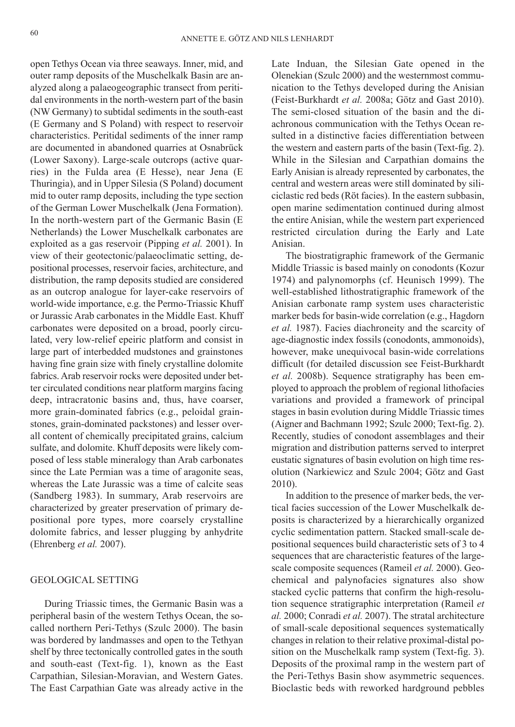open Tethys Ocean via three seaways. inner, mid, and outer ramp deposits of the Muschelkalk Basin are analyzed along a palaeogeographic transect from peritidal environments in the north-western part of the basin (NW Germany) to subtidal sediments in the south-east (E Germany and s Poland) with respect to reservoir characteristics. Peritidal sediments of the inner ramp are documented in abandoned quarries at Osnabrück (lower saxony). large-scale outcrops (active quarries) in the Fulda area (E hesse), near Jena (E Thuringia), and in Upper Silesia (S Poland) document mid to outer ramp deposits, including the type section of the German lower Muschelkalk (Jena Formation). In the north-western part of the Germanic Basin (E Netherlands) the lower Muschelkalk carbonates are exploited as a gas reservoir (Pipping *et al.* 2001). in view of their geotectonic/palaeoclimatic setting, depositional processes, reservoir facies, architecture, and distribution, the ramp deposits studied are considered as an outcrop analogue for layer-cake reservoirs of world-wide importance, e.g. the Permo-Triassic Khuff or Jurassic Arab carbonates in the Middle East. Khuff carbonates were deposited on a broad, poorly circulated, very low-relief epeiric platform and consist in large part of interbedded mudstones and grainstones having fine grain size with finely crystalline dolomite fabrics. Arab reservoir rocks were deposited under better circulated conditions near platform margins facing deep, intracratonic basins and, thus, have coarser, more grain-dominated fabrics (e.g., peloidal grainstones, grain-dominated packstones) and lesser overall content of chemically precipitated grains, calcium sulfate, and dolomite. Khuff deposits were likely composed of less stable mineralogy than Arab carbonates since the late Permian was a time of aragonite seas, whereas the late Jurassic was a time of calcite seas (sandberg 1983). in summary, Arab reservoirs are characterized by greater preservation of primary depositional pore types, more coarsely crystalline dolomite fabrics, and lesser plugging by anhydrite (Ehrenberg *et al.* 2007).

## GEOlOGiCAl sETTiNG

During Triassic times, the Germanic Basin was a peripheral basin of the western Tethys Ocean, the socalled northern Peri-Tethys (Szulc 2000). The basin was bordered by landmasses and open to the Tethyan shelf by three tectonically controlled gates in the south and south-east (Text-fig. 1), known as the East Carpathian, silesian-Moravian, and Western Gates. The East Carpathian Gate was already active in the

Late Induan, the Silesian Gate opened in the Olenekian (Szulc 2000) and the westernmost communication to the Tethys developed during the Anisian (Feist-Burkhardt *et al.* 2008a; Götz and Gast 2010). The semi-closed situation of the basin and the diachronous communication with the Tethys Ocean resulted in a distinctive facies differentiation between the western and eastern parts of the basin (Text-fig. 2). While in the Silesian and Carpathian domains the Early Anisian is already represented by carbonates, the central and western areas were still dominated by siliciclastic red beds (Röt facies). In the eastern subbasin, open marine sedimentation continued during almost the entire Anisian, while the western part experienced restricted circulation during the Early and late Anisian.

The biostratigraphic framework of the Germanic Middle Triassic is based mainly on conodonts (Kozur 1974) and palynomorphs (cf. heunisch 1999). The well-established lithostratigraphic framework of the Anisian carbonate ramp system uses characteristic marker beds for basin-wide correlation (e.g., hagdorn *et al.* 1987). Facies diachroneity and the scarcity of age-diagnostic index fossils (conodonts, ammonoids), however, make unequivocal basin-wide correlations difficult (for detailed discussion see Feist-Burkhardt et al. 2008b). Sequence stratigraphy has been employed to approach the problem of regional litho facies variations and provided a framework of principal stages in basin evolution during Middle Triassic times (Aigner and Bachmann 1992; Szulc 2000; Text-fig. 2). Recently, studies of conodont assemblages and their migration and distribution patterns served to interpret eustatic signatures of basin evolution on high time resolution (Narkiewicz and szulc 2004; Götz and Gast 2010).

In addition to the presence of marker beds, the vertical facies succession of the lower Muschelkalk deposits is characterized by a hierarchically organized cyclic sedimentation pattern. Stacked small-scale depositional sequences build characteristic sets of 3 to 4 sequences that are characteristic features of the largescale composite sequences (Rameil et al. 2000). Geochemical and palynofacies signatures also show stacked cyclic patterns that confirm the high-resolution sequence stratigraphic interpretation (Rameil *et al.* 2000; Conradi *et al.* 2007). The stratal architecture of small-scale depositional sequences systematically changes in relation to their relative proximal-distal position on the Muschelkalk ramp system (Text-fig. 3). Deposits of the proximal ramp in the western part of the Peri-Tethys Basin show asymmetric sequences. Bioclastic beds with reworked hardground pebbles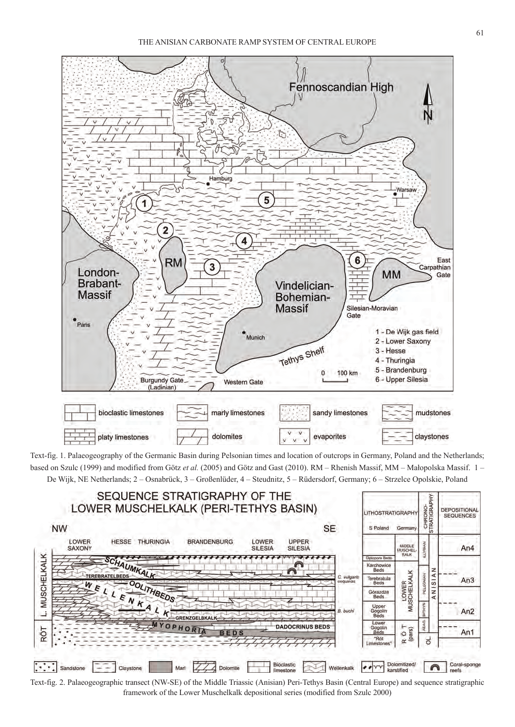

Text-fig. 1. Palaeogeography of the Germanic Basin during Pelsonian times and location of outcrops in Germany, Poland and the Netherlands; based on Szulc (1999) and modified from Götz et al. (2005) and Götz and Gast (2010). RM – Rhenish Massif, MM – Małopolska Massif. 1 – De Wijk, NE Netherlands; 2 – Osnabrück, 3 – Großenlüder, 4 – Steudnitz, 5 – Rüdersdorf, Germany; 6 – Strzelce Opolskie, Poland



Text-fig. 2. Palaeogeographic transect (NW-sE) of the Middle Triassic (Anisian) Peri-Tethys Basin (Central Europe) and sequence stratigraphic framework of the lower Muschelkalk depositional series (modified from szulc 2000)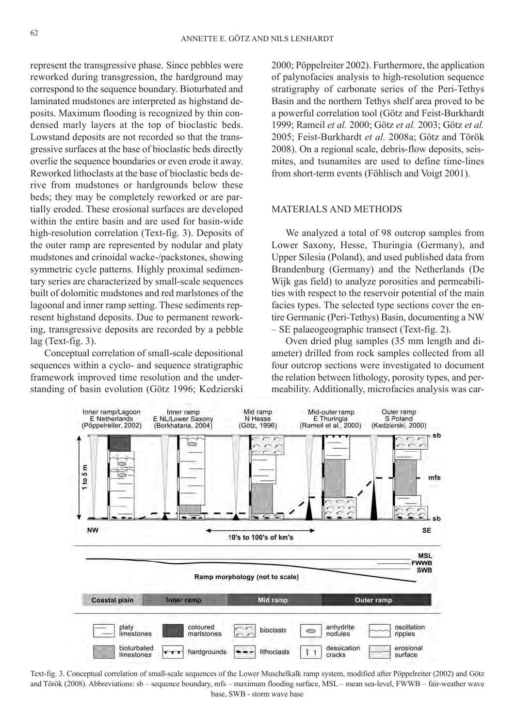represent the transgressive phase. Since pebbles were reworked during transgression, the hardground may correspond to the sequence boundary. Bioturbated and laminated mudstones are interpreted as highstand deposits. Maximum flooding is recognized by thin condensed marly layers at the top of bioclastic beds. Lowstand deposits are not recorded so that the transgressive surfaces at the base of bioclastic beds directly overlie the sequence boundaries or even erode it away. Reworked lithoclasts at the base of bioclastic beds derive from mudstones or hardgrounds below these beds; they may be completely reworked or are partially eroded. These erosional surfaces are developed within the entire basin and are used for basin-wide high-resolution correlation (Text-fig. 3). Deposits of the outer ramp are represented by nodular and platy mudstones and crinoidal wacke-/packstones, showing symmetric cycle patterns. Highly proximal sedimentary series are characterized by small-scale sequences built of dolomitic mudstones and red marlstones of the lagoonal and inner ramp setting. These sediments represent highstand deposits. Due to permanent reworking, transgressive deposits are recorded by a pebble lag (Text-fig. 3).

Conceptual correlation of small-scale depositional sequences within a cyclo- and sequence stratigraphic framework improved time resolution and the understanding of basin evolution (Götz 1996; Kedzierski 2000; Pöppelreiter 2002). Furthermore, the application of palynofacies analysis to high-resolution sequence stratigraphy of carbonate series of the Peri-Tethys Basin and the northern Tethys shelf area proved to be a powerful correlation tool (Götz and Feist-Burkhardt 1999; Rameil *et al.* 2000; Götz *et al.* 2003; Götz *et al.* 2005; Feist-Burkhardt *et al.* 2008a; Götz and Török 2008). On a regional scale, debris-flow deposits, seismites, and tsunamites are used to define time-lines from short-term events (Föhlisch and Voigt 2001).

# MATEriAls ANd METhOds

We analyzed a total of 98 outcrop samples from Lower Saxony, Hesse, Thuringia (Germany), and Upper Silesia (Poland), and used published data from Brandenburg (Germany) and the Netherlands (De Wijk gas field) to analyze porosities and permeabilities with respect to the reservoir potential of the main facies types. The selected type sections cover the entire Germanic (Peri-Tethys) Basin, documenting a NW – sE palaeogeographic transect (Text-fig. 2).

Oven dried plug samples (35 mm length and diameter) drilled from rock samples collected from all four outcrop sections were investigated to document the relation between lithology, porosity types, and permeability. Additionally, microfacies analysis was car-



Text-fig. 3. Conceptual correlation of small-scale sequences of the lower Muschelkalk ramp system, modified after Pöppelreiter (2002) and Götz and Török (2008). Abbreviations: sb – sequence boundary, mfs – maximum flooding surface, MSL – mean sea-level, FWWB – fair-weather wave base, sWB - storm wave base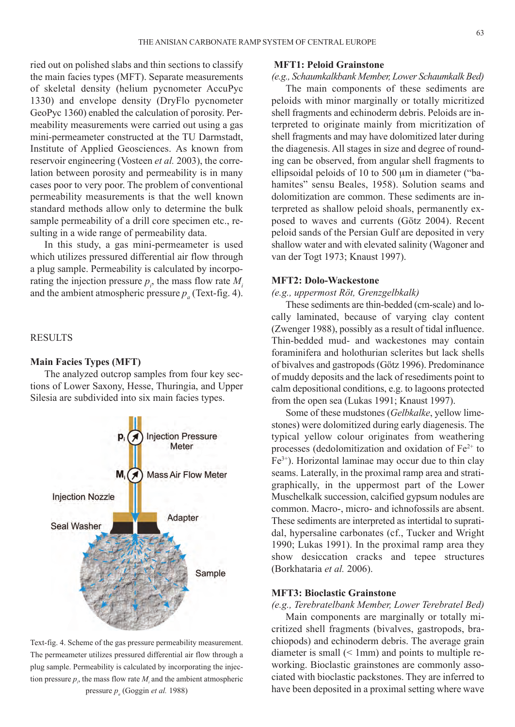ried out on polished slabs and thin sections to classify the main facies types (MFT). Separate measurements of skeletal density (helium pycnometer AccuPyc 1330) and envelope density (DryFlo pycnometer GeoPyc 1360) enabled the calculation of porosity. Permeability measurements were carried out using a gas mini-permeameter constructed at the TU Darmstadt, Institute of Applied Geosciences. As known from reservoir engineering (Vosteen *et al.* 2003), the correlation between porosity and permeability is in many cases poor to very poor. The problem of conventional permeability measurements is that the well known standard methods allow only to determine the bulk sample permeability of a drill core specimen etc., resulting in a wide range of permeability data.

in this study, a gas mini-permeameter is used which utilizes pressured differential air flow through a plug sample. Permeability is calculated by incorporating the injection pressure  $p_i$ , the mass flow rate  $M_i$ and the ambient atmospheric pressure  $p_a$  (Text-fig. 4).

## **RESULTS**

#### **Main Facies Types (MFT)**

The analyzed outcrop samples from four key sections of Lower Saxony, Hesse, Thuringia, and Upper silesia are subdivided into six main facies types.



Text-fig. 4. scheme of the gas pressure permeability measurement. The permeameter utilizes pressured differential air flow through a plug sample. Permeability is calculated by incorporating the injection pressure  $p_i$ , the mass flow rate  $M_i$  and the ambient atmospheric pressure *p* (Goggin *et al.* 1988)

## **MFT1: Peloid Grainstone**

# *(e.g., Schaumkalkbank Member, Lower Schaumkalk Bed)*

The main components of these sediments are peloids with minor marginally or totally micritized shell fragments and echinoderm debris. Peloids are interpreted to originate mainly from micritization of shell fragments and may have dolomitized later during the diagenesis. All stages in size and degree of rounding can be observed, from angular shell fragments to ellipsoidal peloids of 10 to 500 µm in diameter ("bahamites" sensu Beales, 1958). Solution seams and dolomitization are common. These sediments are interpreted as shallow peloid shoals, permanently exposed to waves and currents (Götz 2004). Recent peloid sands of the Persian Gulf are deposited in very shallow water and with elevated salinity (Wagoner and van der Togt 1973; Knaust 1997).

## **MFT2: Dolo-Wackestone**

## *(e.g., uppermost Röt, Grenzgelbkalk)*

These sediments are thin-bedded (cm-scale) and locally laminated, because of varying clay content (zwenger 1988), possibly as a result of tidal influence. Thin-bedded mud- and wackestones may contain foraminifera and holothurian sclerites but lack shells of bivalves and gastropods (Götz 1996). Predominance of muddy deposits and the lack of resediments point to calm depositional conditions, e.g. to lagoons protected from the open sea (Lukas 1991; Knaust 1997).

some of these mudstones (*Gelbkalke*, yellow limestones) were dolomitized during early diagenesis. The typical yellow colour originates from weathering processes (dedolomitization and oxidation of  $Fe<sup>2+</sup>$  to  $Fe<sup>3+</sup>$ ). Horizontal laminae may occur due to thin clay seams. Laterally, in the proximal ramp area and stratigraphically, in the uppermost part of the lower Muschelkalk succession, calcified gypsum nodules are common. Macro-, micro- and ichnofossils are absent. These sediments are interpreted as intertidal to supratidal, hypersaline carbonates (cf., Tucker and Wright 1990; lukas 1991). in the proximal ramp area they show desiccation cracks and tepee structures (Borkhataria *et al.* 2006).

## **MFT3: Bioclastic Grainstone**

*(e.g., Terebratelbank Member, Lower Terebratel Bed)*

Main components are marginally or totally micritized shell fragments (bivalves, gastropods, brachiopods) and echinoderm debris. The average grain diameter is small  $(< 1$ mm) and points to multiple reworking. Bioclastic grainstones are commonly associated with bioclastic packstones. They are inferred to have been deposited in a proximal setting where wave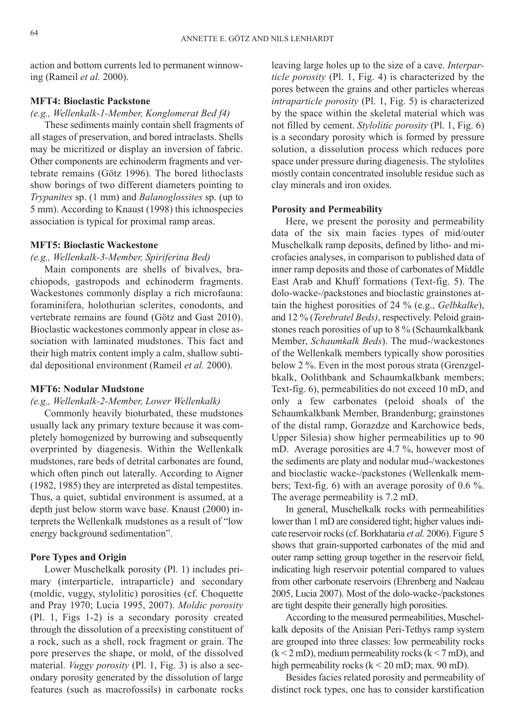action and bottom currents led to permanent winnowing (Rameil *et al.* 2000).

# **MFT4: Bioclastic Packstone**

#### *(e.g., Wellenkalk-1-Member, Konglomerat Bed f4)*

These sediments mainly contain shell fragments of all stages of preservation, and bored intraclasts. shells may be micritized or display an inversion of fabric. Other components are echinoderm fragments and vertebrate remains (Götz 1996). The bored lithoclasts show borings of two different diameters pointing to *Trypanites* sp. (1 mm) and *Balanoglossites* sp. (up to 5 mm). According to Knaust (1998) this ichnospecies association is typical for proximal ramp areas.

## **MFT5: Bioclastic Wackestone**

# *(e.g., Wellenkalk-3-Member, Spiriferina Bed)*

Main components are shells of bivalves, brachiopods, gastropods and echinoderm fragments. Wackestones commonly display a rich microfauna: foraminifera, holothurian sclerites, conodonts, and vertebrate remains are found (Götz and Gast 2010). Bioclastic wackestones commonly appear in close association with laminated mudstones. This fact and their high matrix content imply a calm, shallow subtidal depositional environment (Rameil *et al.* 2000).

# **MFT6: Nodular Mudstone**

# *(e.g., Wellenkalk-2-Member, Lower Wellenkalk)*

Commonly heavily bioturbated, these mudstones usually lack any primary texture because it was completely homogenized by burrowing and subsequently overprinted by diagenesis. Within the Wellenkalk mudstones, rare beds of detrital carbonates are found, which often pinch out laterally. According to Aigner (1982, 1985) they are interpreted as distal tempestites. Thus, a quiet, subtidal environment is assumed, at a depth just below storm wave base. Knaust (2000) interprets the Wellenkalk mudstones as a result of "low energy background sedimentation".

# **Pore Types and Origin**

Lower Muschelkalk porosity (Pl. 1) includes primary (interparticle, intraparticle) and secondary (moldic, vuggy, stylolitic) porosities (cf. Choquette and Pray 1970; lucia 1995, 2007). *Moldic porosity* (Pl. 1, Figs 1-2) is a secondary porosity created through the dissolution of a preexisting constituent of a rock, such as a shell, rock fragment or grain. The pore preserves the shape, or mold, of the dissolved material. *Vuggy porosity* (Pl. 1, Fig. 3) is also a secondary porosity generated by the dissolution of large features (such as macrofossils) in carbonate rocks

leaving large holes up to the size of a cave. *Interparticle porosity* (Pl. 1, Fig. 4) is characterized by the pores between the grains and other particles whereas *intraparticle porosity* (Pl. 1, Fig. 5) is characterized by the space within the skeletal material which was not filled by cement. *Stylolitic porosity* (Pl. 1, Fig. 6) is a secondary porosity which is formed by pressure solution, a dissolution process which reduces pore space under pressure during diagenesis. The stylolites mostly contain concentrated insoluble residue such as clay minerals and iron oxides.

## **Porosity and Permeability**

here, we present the porosity and permeability data of the six main facies types of mid/outer Muschelkalk ramp deposits, defined by litho- and microfacies analyses, in comparison to published data of inner ramp deposits and those of carbonates of Middle East Arab and Khuff formations (Text-fig. 5). The dolo-wacke-/packstones and bioclastic grainstones attain the highest porosities of 24 % (e.g., *Gelbkalke*), and 12 % (*Terebratel Beds)*, respectively. Peloid grainstones reach porosities of up to 8 % (Schaumkalkbank) Member, *Schaumkalk Beds*). The mud-/wackestones of the Wellenkalk members typically show porosities below 2 %. Even in the most porous strata (Grenzgelbkalk, Oolithbank and schaumkalkbank members; Text-fig. 6), permeabilities do not exceed 10 mD, and only a few carbonates (peloid shoals of the schaumkalkbank Member, Brandenburg; grainstones of the distal ramp, Gorazdze and Karchowice beds, Upper Silesia) show higher permeabilities up to 90 mD. Average porosities are 4.7 %, however most of the sediments are platy and nodular mud-/wackestones and bioclastic wacke-/packstones (Wellenkalk members; Text-fig. 6) with an average porosity of 0.6 %. The average permeability is 7.2 mD.

In general, Muschelkalk rocks with permeabilities lower than 1 mD are considered tight; higher values indicate reservoir rocks (cf. Borkhataria *et al.* 2006). Figure 5 shows that grain-supported carbonates of the mid and outer ramp setting group together in the reservoir field, indicating high reservoir potential compared to values from other carbonate reservoirs (Ehrenberg and Nadeau 2005, lucia 2007). Most of the dolo-wacke-/packstones are tight despite their generally high porosities.

According to the measured permeabilities, Muschelkalk deposits of the Anisian Peri-Tethys ramp system are grouped into three classes: low permeability rocks  $(k < 2$  mD), medium permeability rocks  $(k < 7$  mD), and high permeability rocks ( $k < 20$  mD; max. 90 mD).

Besides facies related porosity and permeability of distinct rock types, one has to consider karstification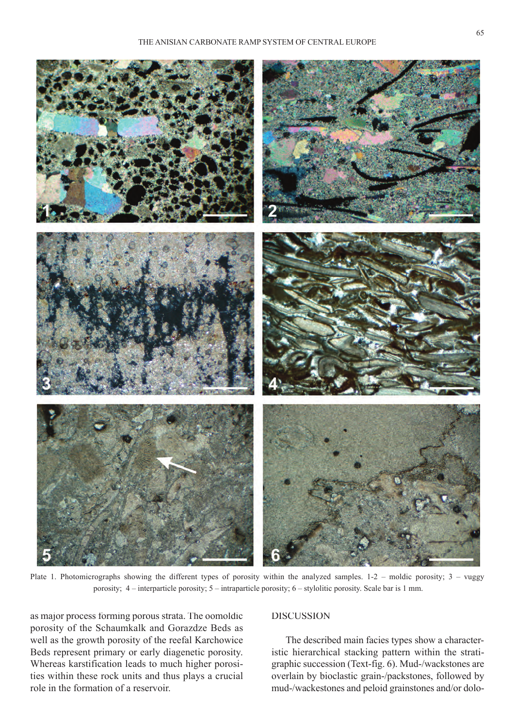

Plate 1. Photomicrographs showing the different types of porosity within the analyzed samples. 1-2 – moldic porosity; 3 – vuggy porosity; 4 – interparticle porosity; 5 – intraparticle porosity; 6 – stylolitic porosity. scale bar is 1 mm.

as major process forming porous strata. The oomoldic porosity of the schaumkalk and Gorazdze Beds as well as the growth porosity of the reefal Karchowice Beds represent primary or early diagenetic porosity. Whereas karstification leads to much higher porosities within these rock units and thus plays a crucial role in the formation of a reservoir.

# **DISCUSSION**

The described main facies types show a characteristic hierarchical stacking pattern within the stratigraphic succession (Text-fig. 6). Mud-/wackstones are overlain by bioclastic grain-/packstones, followed by mud-/wackestones and peloid grainstones and/or dolo-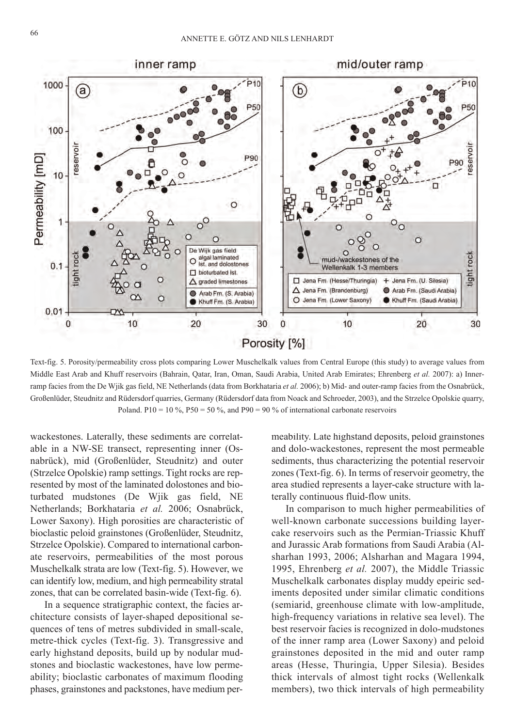

Text-fig. 5. Porosity/permeability cross plots comparing lower Muschelkalk values from Central Europe (this study) to average values from Middle East Arab and Khuff reservoirs (Bahrain, Qatar, iran, Oman, saudi Arabia, united Arab Emirates; Ehrenberg *et al.* 2007): a) innerramp facies from the De Wjik gas field, NE Netherlands (data from Borkhataria *et al.* 2006); b) Mid- and outer-ramp facies from the Osnabrück, Großenlüder, Steudnitz and Rüdersdorf quarries, Germany (Rüdersdorf data from Noack and Schroeder, 2003), and the Strzelce Opolskie quarry, Poland. P10 = 10 %, P50 = 50 %, and P90 = 90 % of international carbonate reservoirs

wackestones. laterally, these sediments are correlatable in a NW-sE transect, representing inner (Osnabrück), mid (Großenlüder, steudnitz) and outer (strzelce Opolskie) ramp settings. Tight rocks are represented by most of the laminated dolostones and bioturbated mudstones (De Wjik gas field, NE Netherlands; Borkhataria *et al.* 2006; Osnabrück, Lower Saxony). High porosities are characteristic of bioclastic peloid grainstones (Großenlüder, steudnitz, strzelce Opolskie). Compared to international carbonate reservoirs, permeabilities of the most porous Muschelkalk strata are low (Text-fig. 5). however, we can identify low, medium, and high permeability stratal zones, that can be correlated basin-wide (Text-fig. 6).

In a sequence stratigraphic context, the facies architecture consists of layer-shaped depositional sequences of tens of metres subdivided in small-scale, metre-thick cycles (Text-fig. 3). Transgressive and early highstand deposits, build up by nodular mudstones and bioclastic wackestones, have low permeability; bioclastic carbonates of maximum flooding phases, grainstones and packstones, have medium permeability. late highstand deposits, peloid grainstones and dolo-wackestones, represent the most permeable sediments, thus characterizing the potential reservoir zones (Text-fig. 6). in terms of reservoir geometry, the area studied represents a layer-cake structure with laterally continuous fluid-flow units.

In comparison to much higher permeabilities of well-known carbonate successions building layercake reservoirs such as the Permian-Triassic Khuff and Jurassic Arab formations from saudi Arabia (Alsharhan 1993, 2006; Alsharhan and Magara 1994, 1995, Ehrenberg *et al.* 2007), the Middle Triassic Muschelkalk carbonates display muddy epeiric sediments deposited under similar climatic conditions (semiarid, greenhouse climate with low-amplitude, high-frequency variations in relative sea level). The best reservoir facies is recognized in dolo-mudstones of the inner ramp area (lower saxony) and peloid grainstones deposited in the mid and outer ramp areas (hesse, Thuringia, upper silesia). Besides thick intervals of almost tight rocks (Wellenkalk members), two thick intervals of high permeability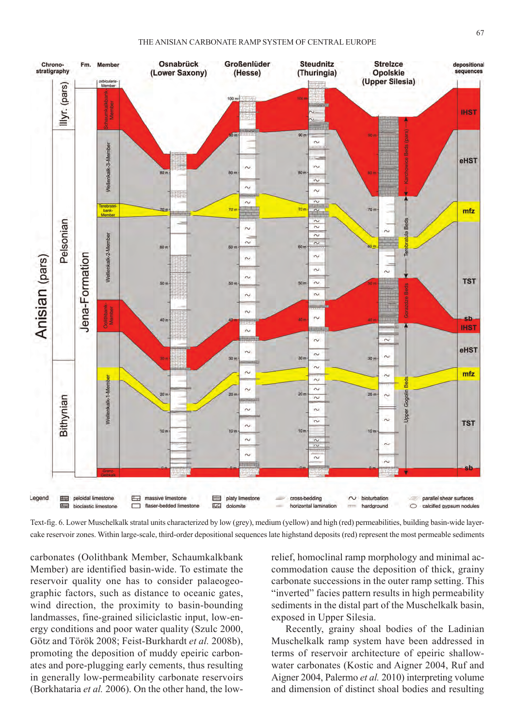

Text-fig. 6. lower Muschelkalk stratal units characterized by low (grey), medium (yellow) and high (red) permeabilities, building basin-wide layercake reservoir zones. Within large-scale, third-order depositional sequences late highstand deposits (red) represent the most permeable sediments

carbonates (Oolithbank Member, schaumkalkbank Member) are identified basin-wide. To estimate the reservoir quality one has to consider palaeogeographic factors, such as distance to oceanic gates, wind direction, the proximity to basin-bounding landmasses, fine-grained siliciclastic input, low-energy conditions and poor water quality (Szulc 2000, Götz and Török 2008; Feist-Burkhardt *et al.* 2008b), promoting the deposition of muddy epeiric carbonates and pore-plugging early cements, thus resulting in generally low-permeability carbonate reservoirs (Borkhataria *et al.* 2006). On the other hand, the lowrelief, homoclinal ramp morphology and minimal accommodation cause the deposition of thick, grainy carbonate successions in the outer ramp setting. This "inverted" facies pattern results in high permeability sediments in the distal part of the Muschelkalk basin, exposed in Upper Silesia.

Recently, grainy shoal bodies of the Ladinian Muschelkalk ramp system have been addressed in terms of reservoir architecture of epeiric shallowwater carbonates (Kostic and Aigner 2004, Ruf and Aigner 2004, Palermo *et al.* 2010) interpreting volume and dimension of distinct shoal bodies and resulting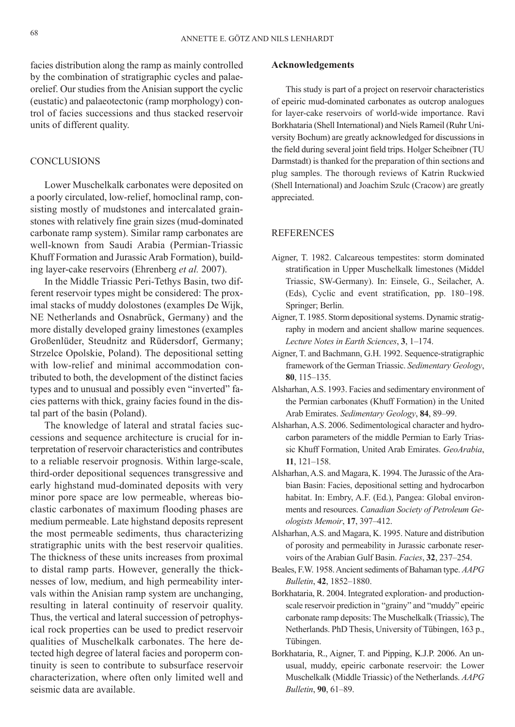facies distribution along the ramp as mainly controlled by the combination of stratigraphic cycles and palaeorelief. Our studies from the Anisian support the cyclic (eustatic) and palaeotectonic (ramp morphology) control of facies successions and thus stacked reservoir units of different quality.

## **CONCLUSIONS**

Lower Muschelkalk carbonates were deposited on a poorly circulated, low-relief, homoclinal ramp, consisting mostly of mudstones and intercalated grainstones with relatively fine grain sizes (mud-dominated carbonate ramp system). similar ramp carbonates are well-known from saudi Arabia (Permian-Triassic Khuff Formation and Jurassic Arab Formation), building layer-cake reservoirs (Ehrenberg *et al.* 2007).

In the Middle Triassic Peri-Tethys Basin, two different reservoir types might be considered: The proximal stacks of muddy dolostones (examples De Wijk, NE Netherlands and Osnabrück, Germany) and the more distally developed grainy limestones (examples Großenlüder, Steudnitz and Rüdersdorf, Germany; strzelce Opolskie, Poland). The depositional setting with low-relief and minimal accommodation contributed to both, the development of the distinct facies types and to unusual and possibly even "inverted" facies patterns with thick, grainy facies found in the distal part of the basin (Poland).

The knowledge of lateral and stratal facies successions and sequence architecture is crucial for interpretation of reservoir characteristics and contributes to a reliable reservoir prognosis. Within large-scale, third-order depositional sequences transgressive and early highstand mud-dominated deposits with very minor pore space are low permeable, whereas bioclastic carbonates of maximum flooding phases are medium permeable. late highstand deposits represent the most permeable sediments, thus characterizing stratigraphic units with the best reservoir qualities. The thickness of these units increases from proximal to distal ramp parts. however, generally the thicknesses of low, medium, and high permeability intervals within the Anisian ramp system are unchanging, resulting in lateral continuity of reservoir quality. Thus, the vertical and lateral succession of petrophysical rock properties can be used to predict reservoir qualities of Muschelkalk carbonates. The here detected high degree of lateral facies and poroperm continuity is seen to contribute to subsurface reservoir characterization, where often only limited well and seismic data are available.

#### **Acknowledgements**

This study is part of a project on reservoir characteristics of epeiric mud-dominated carbonates as outcrop analogues for layer-cake reservoirs of world-wide importance. Ravi Borkhataria (Shell International) and Niels Rameil (Ruhr University Bochum) are greatly acknowledged for discussions in the field during several joint field trips. Holger Scheibner (TU Darmstadt) is thanked for the preparation of thin sections and plug samples. The thorough reviews of Katrin Ruckwied (shell international) and Joachim szulc (Cracow) are greatly appreciated.

# **REFERENCES**

- Aigner, T. 1982. Calcareous tempestites: storm dominated stratification in Upper Muschelkalk limestones (Middel Triassic, sW-Germany). in: Einsele, G., seilacher, A. (Eds), Cyclic and event stratification, pp. 180–198. springer; Berlin.
- Aigner, T. 1985. Storm depositional systems. Dynamic stratigraphy in modern and ancient shallow marine sequences. *Lecture Notes in Earth Sciences*, **3**, 1–174.
- Aigner, T. and Bachmann, G.H. 1992. Sequence-stratigraphic framework of the German Triassic. *Sedimentary Geology*, **80**, 115–135.
- Alsharhan, A.s. 1993. Facies and sedimentary environment of the Permian carbonates (Khuff Formation) in the United Arab Emirates. *Sedimentary Geology*, **84**, 89–99.
- Alsharhan, A.s. 2006. sedimentological character and hydrocarbon parameters of the middle Permian to Early Triassic Khuff Formation, united Arab Emirates. *GeoArabia*, **11**, 121–158.
- Alsharhan, A.S. and Magara, K. 1994. The Jurassic of the Arabian Basin: Facies, depositional setting and hydrocarbon habitat. in: Embry, A.F. (Ed.), Pangea: Global environments and resources. *Canadian Society of Petroleum Geologists Memoir*, **17**, 397–412.
- Alsharhan, A.s. and Magara, K. 1995. Nature and distribution of porosity and permeability in Jurassic carbonate reservoirs of the Arabian Gulf Basin. *Facies*, **32**, 237–254.
- Beales, F.W. 1958. Ancient sediments of Bahaman type. *AAPG Bulletin*, **42**, 1852–1880.
- Borkhataria, R. 2004. Integrated exploration- and productionscale reservoir prediction in "grainy" and "muddy" epeiric carbonate ramp deposits: The Muschelkalk (Triassic), The Netherlands. PhD Thesis, University of Tübingen, 163 p., Tübingen.
- Borkhataria, R., Aigner, T. and Pipping, K.J.P. 2006. An unusual, muddy, epeiric carbonate reservoir: the lower Muschelkalk (Middle Triassic) of the Netherlands. *AAPG Bulletin*, **90**, 61–89.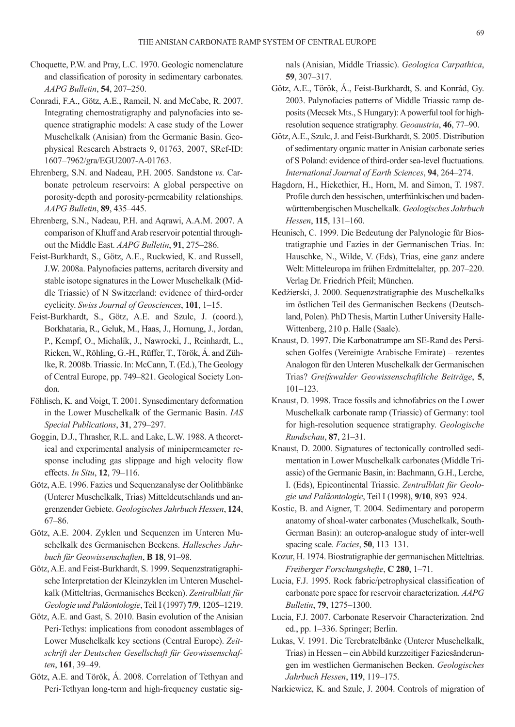- Choquette, P.W. and Pray, l.C. 1970. Geologic nomenclature and classification of porosity in sedimentary carbonates. *AAPG Bulletin*, **54**, 207–250.
- Conradi, F.A., Götz, A.E., Rameil, N. and McCabe, R. 2007. Integrating chemostratigraphy and palynofacies into sequence stratigraphic models: A case study of the lower Muschelkalk (Anisian) from the Germanic Basin. Geophysical Research Abstracts 9, 01763, 2007, SRef-ID: 1607–7962/gra/EGu2007-A-01763.
- Ehrenberg, s.N. and Nadeau, P.h. 2005. sandstone *vs.* Carbonate petroleum reservoirs: A global perspective on porosity-depth and porosity-permeability relationships. *AAPG Bulletin*, **89**, 435–445.
- Ehrenberg, s.N., Nadeau, P.h. and Aqrawi, A.A.M. 2007. A comparison of Khuff and Arab reservoir potential throughout the Middle East. *AAPG Bulletin*, **91**, 275–286.
- Feist-Burkhardt, S., Götz, A.E., Ruckwied, K. and Russell, J.W. 2008a. Palynofacies patterns, acritarch diversity and stable isotope signatures in the lower Muschelkalk (Middle Triassic) of N switzerland: evidence of third-order cyclicity. *Swiss Journal of Geosciences*, **101**, 1–15.
- Feist-Burkhardt, s., Götz, A.E. and szulc, J. (coord.), Borkhataria, R., Geluk, M., Haas, J., Hornung, J., Jordan, P., Kempf, O., Michalík, J., Nawrocki, J., Reinhardt, L., Ricken, W., Röhling, G.-H., Rüffer, T., Török, Á. and Zühlke, R. 2008b. Triassic. In: McCann, T. (Ed.), The Geology of Central Europe, pp. 749–821. Geological society london.
- Föhlisch, K. and Voigt, T. 2001. synsedimentary deformation in the lower Muschelkalk of the Germanic Basin. *IAS Special Publications*, **31**, 279–297.
- Goggin, D.J., Thrasher, R.L. and Lake, L.W. 1988. A theoretical and experimental analysis of minipermeameter response including gas slippage and high velocity flow effects. *In Situ*, **12**, 79–116.
- Götz, A.E. 1996. Fazies und sequenzanalyse der Oolithbänke (Unterer Muschelkalk, Trias) Mitteldeutschlands und angrenzender Gebiete. *Geologisches Jahrbuch Hessen*, **124**, 67–86.
- Götz, A.E. 2004. Zyklen und Sequenzen im Unteren Muschelkalk des Germanischen Beckens. *Hallesches Jahrbuch für Geowissenschaften*, **B 18**, 91–98.
- Götz, A.E. and Feist-Burkhardt, S. 1999. Sequenzstratigraphische Interpretation der Kleinzyklen im Unteren Muschelkalk (Mitteltrias, Germanisches Becken). *Zentralblatt für Geologie und Paläontologie*, Teil i (1997) **7/9**, 1205–1219.
- Götz, A.E. and Gast, s. 2010. Basin evolution of the Anisian Peri-Tethys: implications from conodont assemblages of lower Muschelkalk key sections (Central Europe). *Zeitschrift der Deutschen Gesellschaft für Geowissenschaften*, **161**, 39–49.
- Götz, A.E. and Török, Á. 2008. Correlation of Tethyan and Peri-Tethyan long-term and high-frequency eustatic sig-

nals (Anisian, Middle Triassic). *Geologica Carpathica*, **59**, 307–317.

- Götz, A.E., Török, Á., Feist-Burkhardt, s. and Konrád, Gy. 2003. Palynofacies patterns of Middle Triassic ramp deposits (Mecsek Mts., S Hungary): A powerful tool for highresolution sequence stratigraphy. *Geoaustria*, **46**, 77–90.
- Götz, A.E., Szulc, J. and Feist-Burkhardt, S. 2005. Distribution of sedimentary organic matter in Anisian carbonate series of s Poland: evidence of third-order sea-level fluctuations. *International Journal of Earth Sciences*, **94**, 264–274.
- Hagdorn, H., Hickethier, H., Horn, M. and Simon, T. 1987. Profile durch den hessischen, unterfränkischen und badenwürttembergischen Muschelkalk. *Geologisches Jahrbuch Hessen*, **115**, 131–160.
- Heunisch, C. 1999. Die Bedeutung der Palynologie für Biostratigraphie und Fazies in der Germanischen Trias. in: hauschke, N., Wilde, V. (Eds), Trias, eine ganz andere Welt: Mitteleuropa im frühen Erdmittelalter, pp. 207–220. Verlag Dr. Friedrich Pfeil; München.
- Kedżierski, J. 2000. sequenzstratigraphie des Muschelkalks im östlichen Teil des Germanischen Beckens (Deutschland, Polen). PhD Thesis, Martin Luther University Halle-Wittenberg, 210 p. Halle (Saale).
- Knaust, D. 1997. Die Karbonatrampe am SE-Rand des Persischen Golfes (Vereinigte Arabische Emirate) – rezentes Analogon für den Unteren Muschelkalk der Germanischen Trias? *Greifswalder Geowissenschaftliche Beiträge*, **5**, 101–123.
- Knaust, D. 1998. Trace fossils and ichnofabrics on the Lower Muschelkalk carbonate ramp (Triassic) of Germany: tool for high-resolution sequence stratigraphy. *Geologische Rundschau*, **87**, 21–31.
- Knaust, D. 2000. Signatures of tectonically controlled sedimentation in lower Muschelkalk carbonates (Middle Triassic) of the Germanic Basin, in: Bachmann, G.h., lerche, i. (Eds), Epicontinental Triassic. *Zentralblatt für Geologie und Paläontologie*, Teil i (1998), **9/10**, 893–924.
- Kostic, B. and Aigner, T. 2004. Sedimentary and poroperm anatomy of shoal-water carbonates (Muschelkalk, south-German Basin): an outcrop-analogue study of inter-well spacing scale. *Facies*, **50**, 113–131.
- Kozur, H. 1974. Biostratigraphie der germanischen Mitteltrias. *Freiberger Forschungshefte*, **C 280**, 1–71.
- Lucia, F.J. 1995. Rock fabric/petrophysical classification of carbonate pore space for reservoir characterization. *AAPG Bulletin*, **79**, 1275–1300.
- Lucia, F.J. 2007. Carbonate Reservoir Characterization. 2nd ed., pp. 1–336. springer; Berlin.
- Lukas, V. 1991. Die Terebratelbänke (Unterer Muschelkalk, Trias) in hessen – ein Abbild kurzzeitiger Faziesänderungen im westlichen Germanischen Becken. *Geologisches Jahrbuch Hessen*, **119**, 119–175.

Narkiewicz, K. and szulc, J. 2004. Controls of migration of